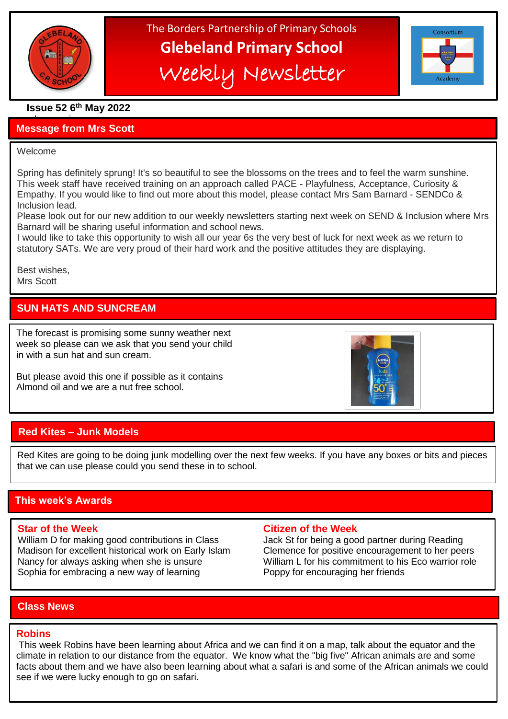

# The Borders Partnership of Primary Schools **Glebeland Primary School** Weekly Newsletter



# **Issue 52 6 th May 2022**

### a bumper issues in the second second in the second second second in the second second second in the second second second second second second second second second second second second second second second second second sec **Message from Mrs Scott**

### Welcome

֦

Spring has definitely sprung! It's so beautiful to see the blossoms on the trees and to feel the warm sunshine. This week staff have received training on an approach called PACE - Playfulness, Acceptance, Curiosity & Empathy. If you would like to find out more about this model, please contact Mrs Sam Barnard - SENDCo & Inclusion lead.

Please look out for our new addition to our weekly newsletters starting next week on SEND & Inclusion where Mrs Barnard will be sharing useful information and school news.

I would like to take this opportunity to wish all our year 6s the very best of luck for next week as we return to statutory SATs. We are very proud of their hard work and the positive attitudes they are displaying.

Best wishes, Mrs Scott

# **SUN HATS AND SUNCREAM**

The forecast is promising some sunny weather next week so please can we ask that you send your child in with a sun hat and sun cream.

 But please avoid this one if possible as it contains Almond oil and we are a nut free school.



# **Red Kites – Junk Models**

Red Kites are going to be doing junk modelling over the next few weeks. If you have any boxes or bits and pieces that we can use please could you send these in to school.

# **This week's Awards**

William D for making good contributions in Class Jack St for being a good partner during Reading Madison for excellent historical work on Early Islam Clemence for positive encouragement to her peers Nancy for always asking when she is unsure William L for his commitment to his Eco warrior role Sophia for embracing a new way of learning Poppy for encouraging her friends

### **Star of the Week Citizen of the Week**

# **Class News**

### **Robins**

This week Robins have been learning about Africa and we can find it on a map, talk about the equator and the climate in relation to our distance from the equator. We know what the "big five" African animals are and some facts about them and we have also been learning about what a safari is and some of the African animals we could see if we were lucky enough to go on safari.